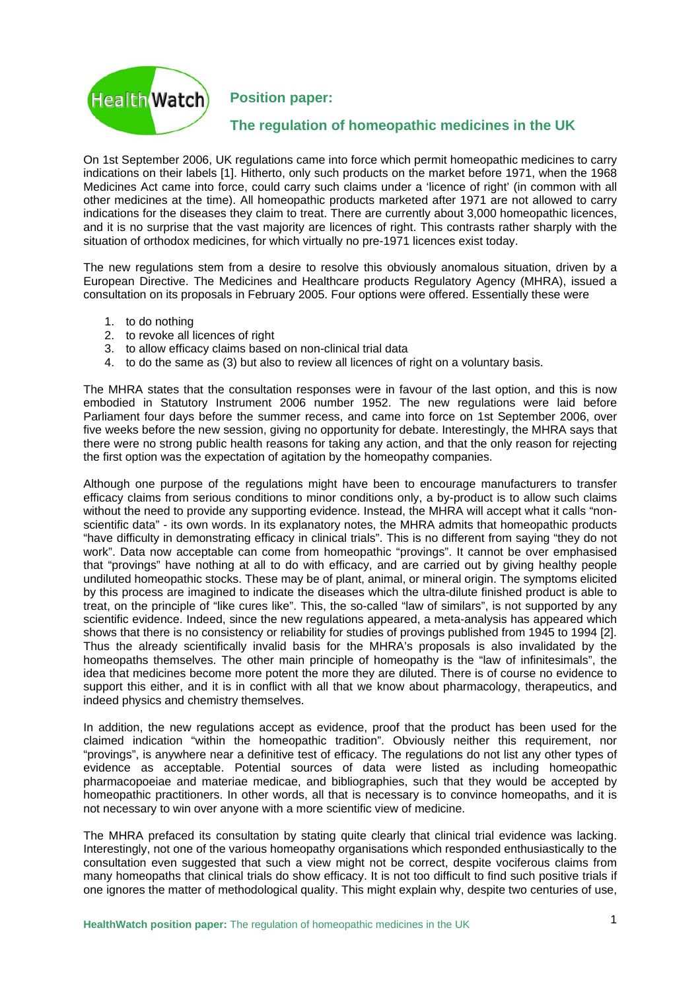

**Position paper:** 

## **The regulation of homeopathic medicines in the UK**

On 1st September 2006, UK regulations came into force which permit homeopathic medicines to carry indications on their labels [1]. Hitherto, only such products on the market before 1971, when the 1968 Medicines Act came into force, could carry such claims under a 'licence of right' (in common with all other medicines at the time). All homeopathic products marketed after 1971 are not allowed to carry indications for the diseases they claim to treat. There are currently about 3,000 homeopathic licences, and it is no surprise that the vast majority are licences of right. This contrasts rather sharply with the situation of orthodox medicines, for which virtually no pre-1971 licences exist today.

The new regulations stem from a desire to resolve this obviously anomalous situation, driven by a European Directive. The Medicines and Healthcare products Regulatory Agency (MHRA), issued a consultation on its proposals in February 2005. Four options were offered. Essentially these were

- 1. to do nothing
- 2. to revoke all licences of right
- 3. to allow efficacy claims based on non-clinical trial data
- 4. to do the same as (3) but also to review all licences of right on a voluntary basis.

The MHRA states that the consultation responses were in favour of the last option, and this is now embodied in Statutory Instrument 2006 number 1952. The new regulations were laid before Parliament four days before the summer recess, and came into force on 1st September 2006, over five weeks before the new session, giving no opportunity for debate. Interestingly, the MHRA says that there were no strong public health reasons for taking any action, and that the only reason for rejecting the first option was the expectation of agitation by the homeopathy companies.

Although one purpose of the regulations might have been to encourage manufacturers to transfer efficacy claims from serious conditions to minor conditions only, a by-product is to allow such claims without the need to provide any supporting evidence. Instead, the MHRA will accept what it calls "nonscientific data" - its own words. In its explanatory notes, the MHRA admits that homeopathic products "have difficulty in demonstrating efficacy in clinical trials". This is no different from saying "they do not work". Data now acceptable can come from homeopathic "provings". It cannot be over emphasised that "provings" have nothing at all to do with efficacy, and are carried out by giving healthy people undiluted homeopathic stocks. These may be of plant, animal, or mineral origin. The symptoms elicited by this process are imagined to indicate the diseases which the ultra-dilute finished product is able to treat, on the principle of "like cures like". This, the so-called "law of similars", is not supported by any scientific evidence. Indeed, since the new regulations appeared, a meta-analysis has appeared which shows that there is no consistency or reliability for studies of provings published from 1945 to 1994 [2]. Thus the already scientifically invalid basis for the MHRA's proposals is also invalidated by the homeopaths themselves. The other main principle of homeopathy is the "law of infinitesimals", the idea that medicines become more potent the more they are diluted. There is of course no evidence to support this either, and it is in conflict with all that we know about pharmacology, therapeutics, and indeed physics and chemistry themselves.

In addition, the new regulations accept as evidence, proof that the product has been used for the claimed indication "within the homeopathic tradition". Obviously neither this requirement, nor "provings", is anywhere near a definitive test of efficacy. The regulations do not list any other types of evidence as acceptable. Potential sources of data were listed as including homeopathic pharmacopoeiae and materiae medicae, and bibliographies, such that they would be accepted by homeopathic practitioners. In other words, all that is necessary is to convince homeopaths, and it is not necessary to win over anyone with a more scientific view of medicine.

The MHRA prefaced its consultation by stating quite clearly that clinical trial evidence was lacking. Interestingly, not one of the various homeopathy organisations which responded enthusiastically to the consultation even suggested that such a view might not be correct, despite vociferous claims from many homeopaths that clinical trials do show efficacy. It is not too difficult to find such positive trials if one ignores the matter of methodological quality. This might explain why, despite two centuries of use,